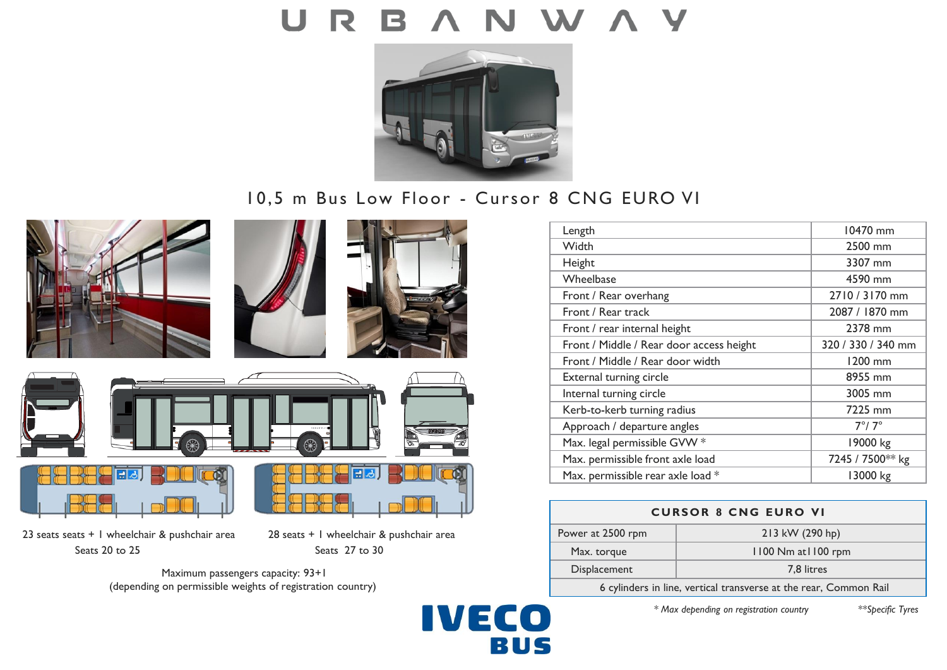

# 10,5 m Bus Low Floor - Cursor 8 CNG EURO VI

**IVECO** 

BUS









23 seats seats + 1 wheelchair & pushchair area 28 seats + 1 wheelchair & pushchair area Seats 20 to 25 Seats 27 to 30

Maximum passengers capacity: 93+1 (depending on permissible weights of registration country)



| <b>CURSOR 8 CNG EURO VI</b> |                     |
|-----------------------------|---------------------|
| Power at 2500 rpm           | 213 kW (290 hp)     |
| Max. torque                 | 1100 Nm at 1100 rpm |
|                             |                     |

| Displacement | 7.8 litres                                                        |
|--------------|-------------------------------------------------------------------|
|              | 6 cylinders in line, vertical transverse at the rear, Common Rail |

*\* Max depending on registration country \*\*Specific Tyres*